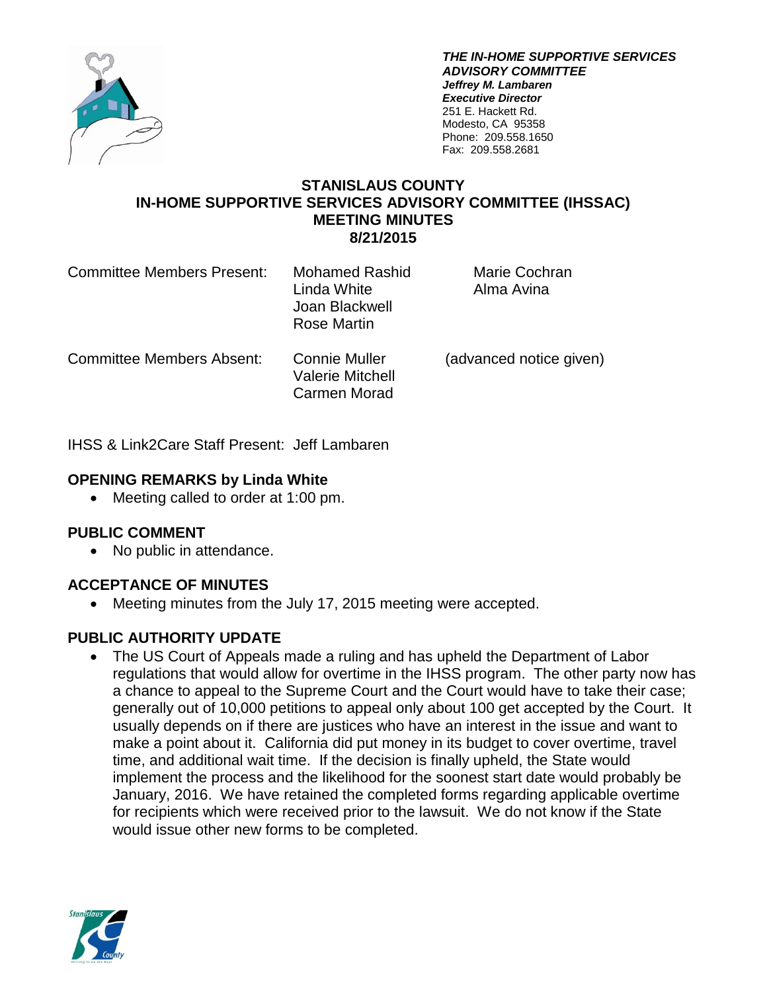

*THE IN-HOME SUPPORTIVE SERVICES ADVISORY COMMITTEE Jeffrey M. Lambaren Executive Director* 251 E. Hackett Rd. Modesto, CA 95358 Phone: 209.558.1650 Fax: 209.558.2681

### **STANISLAUS COUNTY IN-HOME SUPPORTIVE SERVICES ADVISORY COMMITTEE (IHSSAC) MEETING MINUTES 8/21/2015**

| <b>Committee Members Present:</b> | Mohamed Rashid<br>Linda White<br>Joan Blackwell<br>Rose Martin  | Marie Cochran<br>Alma Avina |
|-----------------------------------|-----------------------------------------------------------------|-----------------------------|
| <b>Committee Members Absent:</b>  | <b>Connie Muller</b><br><b>Valerie Mitchell</b><br>Carmen Morad | (advanced notice given)     |

IHSS & Link2Care Staff Present: Jeff Lambaren

# **OPENING REMARKS by Linda White**

• Meeting called to order at 1:00 pm.

# **PUBLIC COMMENT**

• No public in attendance.

# **ACCEPTANCE OF MINUTES**

Meeting minutes from the July 17, 2015 meeting were accepted.

# **PUBLIC AUTHORITY UPDATE**

• The US Court of Appeals made a ruling and has upheld the Department of Labor regulations that would allow for overtime in the IHSS program. The other party now has a chance to appeal to the Supreme Court and the Court would have to take their case; generally out of 10,000 petitions to appeal only about 100 get accepted by the Court. It usually depends on if there are justices who have an interest in the issue and want to make a point about it. California did put money in its budget to cover overtime, travel time, and additional wait time. If the decision is finally upheld, the State would implement the process and the likelihood for the soonest start date would probably be January, 2016. We have retained the completed forms regarding applicable overtime for recipients which were received prior to the lawsuit. We do not know if the State would issue other new forms to be completed.

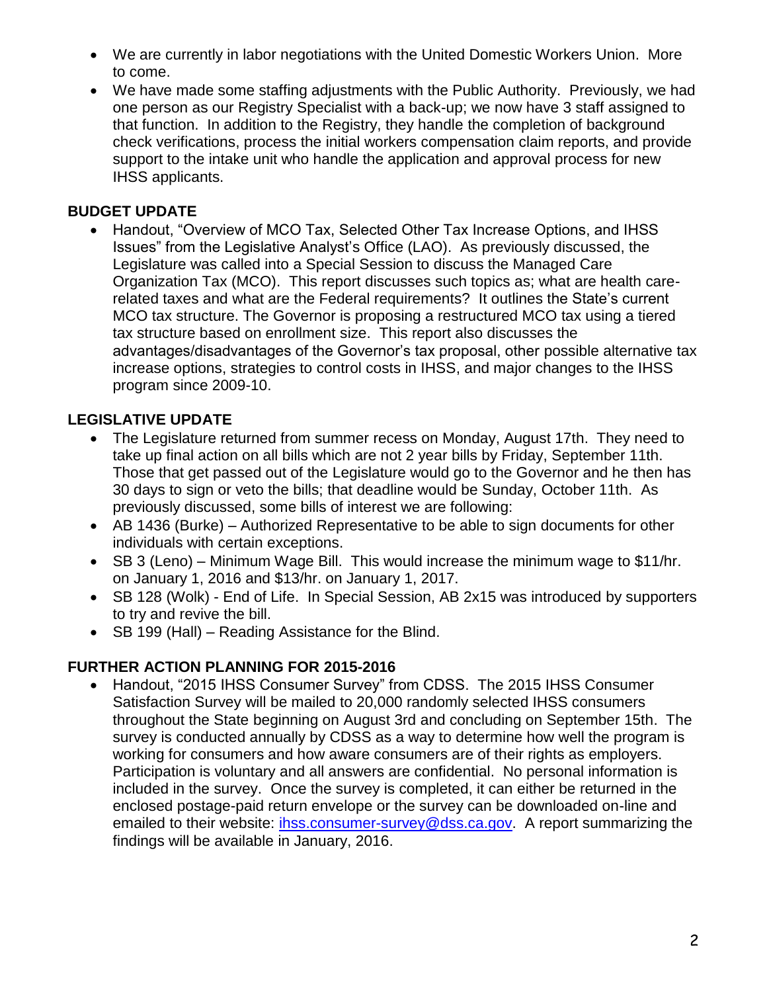- We are currently in labor negotiations with the United Domestic Workers Union. More to come.
- We have made some staffing adjustments with the Public Authority. Previously, we had one person as our Registry Specialist with a back-up; we now have 3 staff assigned to that function. In addition to the Registry, they handle the completion of background check verifications, process the initial workers compensation claim reports, and provide support to the intake unit who handle the application and approval process for new IHSS applicants.

# **BUDGET UPDATE**

 Handout, "Overview of MCO Tax, Selected Other Tax Increase Options, and IHSS Issues" from the Legislative Analyst's Office (LAO). As previously discussed, the Legislature was called into a Special Session to discuss the Managed Care Organization Tax (MCO). This report discusses such topics as; what are health carerelated taxes and what are the Federal requirements? It outlines the State's current MCO tax structure. The Governor is proposing a restructured MCO tax using a tiered tax structure based on enrollment size. This report also discusses the advantages/disadvantages of the Governor's tax proposal, other possible alternative tax increase options, strategies to control costs in IHSS, and major changes to the IHSS program since 2009-10.

# **LEGISLATIVE UPDATE**

- The Legislature returned from summer recess on Monday, August 17th. They need to take up final action on all bills which are not 2 year bills by Friday, September 11th. Those that get passed out of the Legislature would go to the Governor and he then has 30 days to sign or veto the bills; that deadline would be Sunday, October 11th. As previously discussed, some bills of interest we are following:
- AB 1436 (Burke) Authorized Representative to be able to sign documents for other individuals with certain exceptions.
- SB 3 (Leno) Minimum Wage Bill. This would increase the minimum wage to \$11/hr. on January 1, 2016 and \$13/hr. on January 1, 2017.
- SB 128 (Wolk) End of Life. In Special Session, AB 2x15 was introduced by supporters to try and revive the bill.
- SB 199 (Hall) Reading Assistance for the Blind.

# **FURTHER ACTION PLANNING FOR 2015-2016**

 Handout, "2015 IHSS Consumer Survey" from CDSS. The 2015 IHSS Consumer Satisfaction Survey will be mailed to 20,000 randomly selected IHSS consumers throughout the State beginning on August 3rd and concluding on September 15th. The survey is conducted annually by CDSS as a way to determine how well the program is working for consumers and how aware consumers are of their rights as employers. Participation is voluntary and all answers are confidential. No personal information is included in the survey. Once the survey is completed, it can either be returned in the enclosed postage-paid return envelope or the survey can be downloaded on-line and emailed to their website: [ihss.consumer-survey@dss.ca.gov.](mailto:ihss.consumer-survey@dss.ca.gov) A report summarizing the findings will be available in January, 2016.